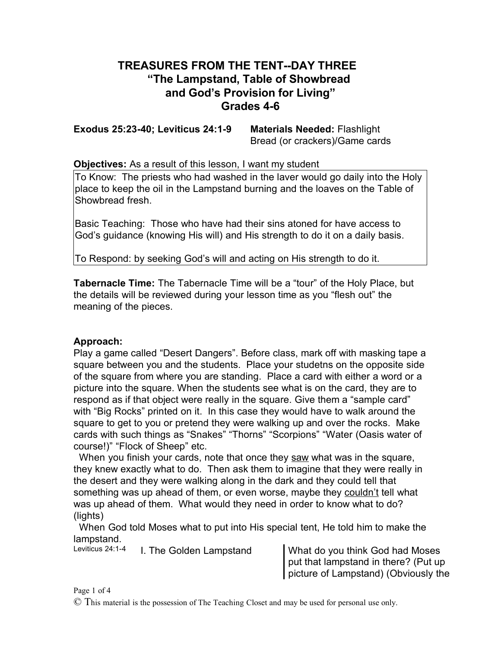## **TREASURES FROM THE TENT--DAY THREE "The Lampstand, Table of Showbread and God's Provision for Living" Grades 4-6**

**Exodus 25:23-40; Leviticus 24:1-9 Materials Needed:** Flashlight

Bread (or crackers)/Game cards

**Objectives:** As a result of this lesson, I want my student

To Know: The priests who had washed in the laver would go daily into the Holy place to keep the oil in the Lampstand burning and the loaves on the Table of Showbread fresh.

Basic Teaching: Those who have had their sins atoned for have access to God's guidance (knowing His will) and His strength to do it on a daily basis.

To Respond: by seeking God's will and acting on His strength to do it.

**Tabernacle Time:** The Tabernacle Time will be a "tour" of the Holy Place, but the details will be reviewed during your lesson time as you "flesh out" the meaning of the pieces.

## **Approach:**

Play a game called "Desert Dangers". Before class, mark off with masking tape a square between you and the students. Place your studetns on the opposite side of the square from where you are standing. Place a card with either a word or a picture into the square. When the students see what is on the card, they are to respond as if that object were really in the square. Give them a "sample card" with "Big Rocks" printed on it. In this case they would have to walk around the square to get to you or pretend they were walking up and over the rocks. Make cards with such things as "Snakes" "Thorns" "Scorpions" "Water (Oasis water of course!)" "Flock of Sheep" etc.

When you finish your cards, note that once they saw what was in the square, they knew exactly what to do. Then ask them to imagine that they were really in the desert and they were walking along in the dark and they could tell that something was up ahead of them, or even worse, maybe they couldn't tell what was up ahead of them. What would they need in order to know what to do? (lights)

When God told Moses what to put into His special tent, He told him to make the lampstand.<br>Leviticus 24:1-4

I. The Golden Lampstand Vhat do you think God had Moses put that lampstand in there? (Put up picture of Lampstand) (Obviously the

Page 1 of 4

© This material is the possession of The Teaching Closet and may be used for personal use only.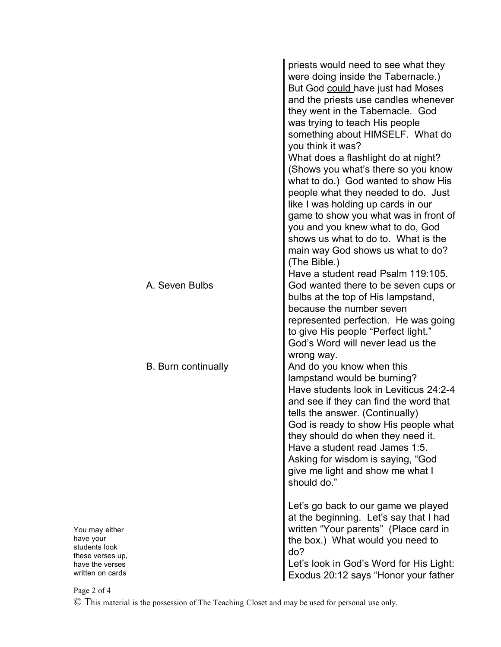|                                                                                                         | priests would need to see what they<br>were doing inside the Tabernacle.)<br>But God could have just had Moses<br>and the priests use candles whenever<br>they went in the Tabernacle. God<br>was trying to teach His people<br>something about HIMSELF. What do<br>you think it was?<br>What does a flashlight do at night?<br>(Shows you what's there so you know<br>what to do.) God wanted to show His<br>people what they needed to do. Just<br>like I was holding up cards in our<br>game to show you what was in front of<br>you and you knew what to do, God<br>shows us what to do to. What is the<br>main way God shows us what to do?<br>(The Bible.) |
|---------------------------------------------------------------------------------------------------------|------------------------------------------------------------------------------------------------------------------------------------------------------------------------------------------------------------------------------------------------------------------------------------------------------------------------------------------------------------------------------------------------------------------------------------------------------------------------------------------------------------------------------------------------------------------------------------------------------------------------------------------------------------------|
| A. Seven Bulbs                                                                                          | Have a student read Psalm 119:105.<br>God wanted there to be seven cups or<br>bulbs at the top of His lampstand,<br>because the number seven<br>represented perfection. He was going<br>to give His people "Perfect light."<br>God's Word will never lead us the                                                                                                                                                                                                                                                                                                                                                                                                 |
| <b>B.</b> Burn continually                                                                              | wrong way.<br>And do you know when this<br>lampstand would be burning?<br>Have students look in Leviticus 24:2-4<br>and see if they can find the word that<br>tells the answer. (Continually)<br>God is ready to show His people what<br>they should do when they need it.<br>Have a student read James 1:5.<br>Asking for wisdom is saying, "God<br>give me light and show me what I<br>should do."                                                                                                                                                                                                                                                             |
| You may either<br>have your<br>students look<br>these verses up,<br>have the verses<br>written on cards | Let's go back to our game we played<br>at the beginning. Let's say that I had<br>written "Your parents" (Place card in<br>the box.) What would you need to<br>do?<br>Let's look in God's Word for His Light:<br>Exodus 20:12 says "Honor your father                                                                                                                                                                                                                                                                                                                                                                                                             |

Page 2 of 4

© This material is the possession of The Teaching Closet and may be used for personal use only.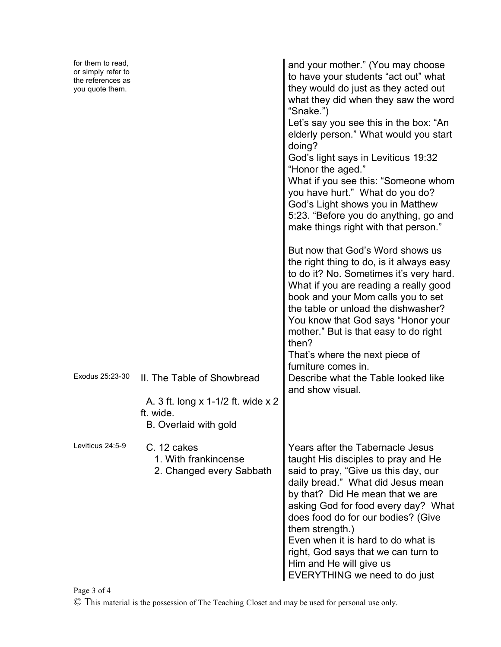| for them to read,<br>or simply refer to<br>the references as<br>you quote them. | "Snake.")<br>doing?<br>God's light says in Leviticus 19:32<br>"Honor the aged."<br>you have hurt." What do you do?<br>God's Light shows you in Matthew<br>book and your Mom calls you to set<br>then?<br>That's where the next piece of<br>furniture comes in.<br>Exodus 25:23-30<br>II. The Table of Showbread | and your mother." (You may choose<br>to have your students "act out" what<br>they would do just as they acted out<br>what they did when they saw the word<br>Let's say you see this in the box: "An<br>elderly person." What would you start<br>What if you see this: "Someone whom<br>5:23. "Before you do anything, go and<br>make things right with that person."<br>But now that God's Word shows us<br>the right thing to do, is it always easy<br>to do it? No. Sometimes it's very hard.<br>What if you are reading a really good |
|---------------------------------------------------------------------------------|-----------------------------------------------------------------------------------------------------------------------------------------------------------------------------------------------------------------------------------------------------------------------------------------------------------------|------------------------------------------------------------------------------------------------------------------------------------------------------------------------------------------------------------------------------------------------------------------------------------------------------------------------------------------------------------------------------------------------------------------------------------------------------------------------------------------------------------------------------------------|
|                                                                                 |                                                                                                                                                                                                                                                                                                                 | the table or unload the dishwasher?<br>You know that God says "Honor your<br>mother." But is that easy to do right<br>Describe what the Table looked like                                                                                                                                                                                                                                                                                                                                                                                |
|                                                                                 | A. 3 ft. long x 1-1/2 ft. wide x 2<br>ft. wide.<br>B. Overlaid with gold                                                                                                                                                                                                                                        | and show visual.                                                                                                                                                                                                                                                                                                                                                                                                                                                                                                                         |
| Leviticus 24:5-9                                                                | C. 12 cakes<br>1. With frankincense<br>2. Changed every Sabbath                                                                                                                                                                                                                                                 | Years after the Tabernacle Jesus<br>taught His disciples to pray and He<br>said to pray, "Give us this day, our<br>daily bread." What did Jesus mean<br>by that? Did He mean that we are<br>asking God for food every day? What<br>does food do for our bodies? (Give<br>them strength.)<br>Even when it is hard to do what is<br>right, God says that we can turn to<br>Him and He will give us<br>EVERYTHING we need to do just                                                                                                        |

Page 3 of 4

© This material is the possession of The Teaching Closet and may be used for personal use only.